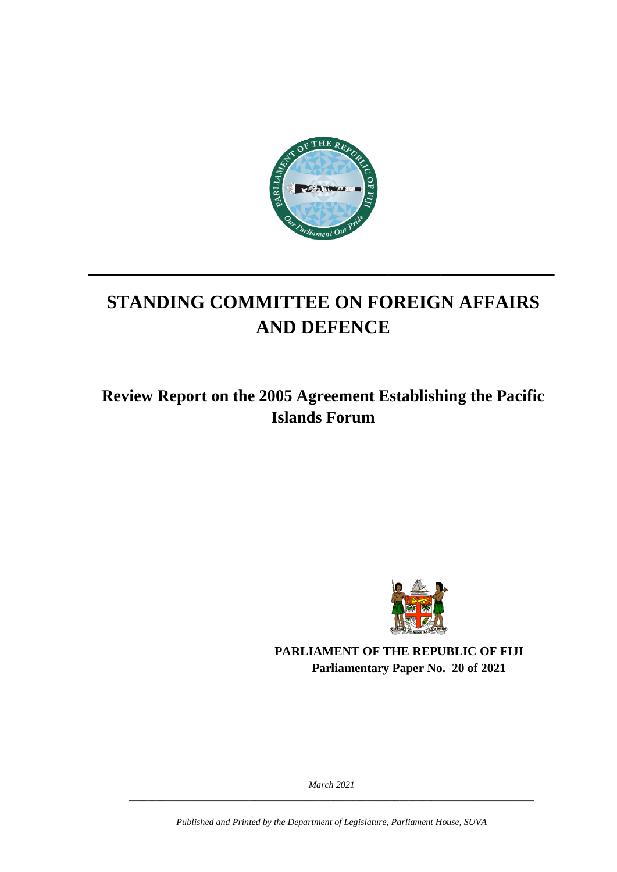

# **STANDING COMMITTEE ON FOREIGN AFFAIRS AND DEFENCE**

**\_\_\_\_\_\_\_\_\_\_\_\_\_\_\_\_\_\_\_\_\_\_\_\_\_\_\_\_\_\_\_\_\_\_\_\_\_\_\_\_\_\_\_\_\_**

**Review Report on the 2005 Agreement Establishing the Pacific Islands Forum**



**PARLIAMENT OF THE REPUBLIC OF FIJI Parliamentary Paper No. 20 of 2021**

*March 2021 \_\_\_\_\_\_\_\_\_\_\_\_\_\_\_\_\_\_\_\_\_\_\_\_\_\_\_\_\_\_\_\_\_\_\_\_\_\_\_\_\_\_\_\_\_\_\_\_\_\_\_\_\_\_\_\_\_\_\_\_\_\_\_\_\_\_\_\_\_\_\_\_\_\_\_\_\_\_\_\_\_\_\_\_\_\_\_*

*Published and Printed by the Department of Legislature, Parliament House, SUVA*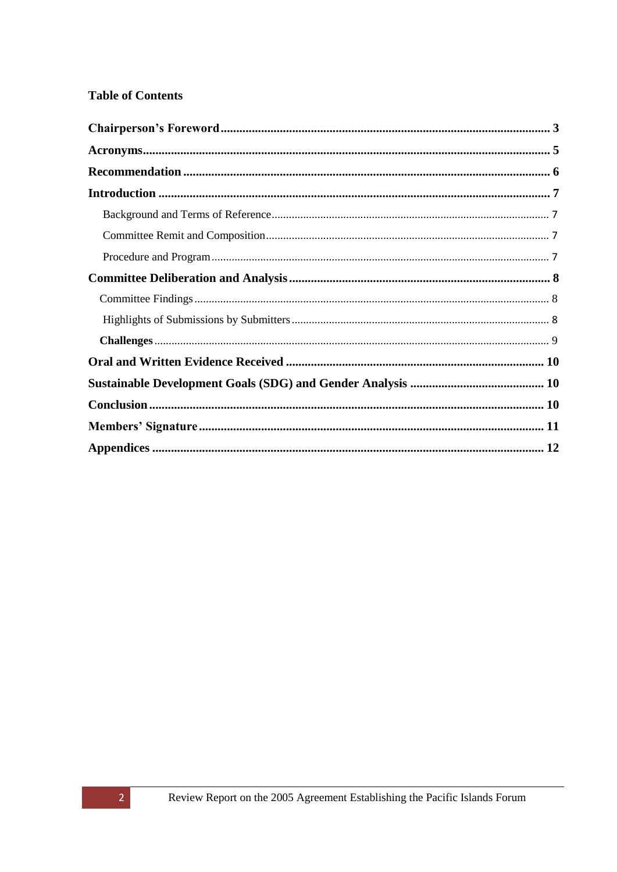#### **Table of Contents**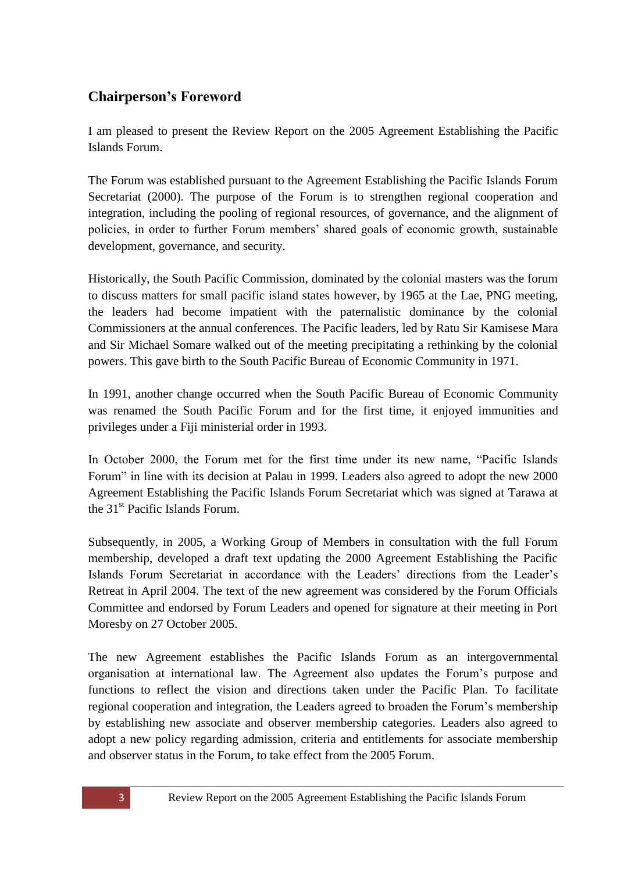### <span id="page-2-0"></span>**Chairperson's Foreword**

I am pleased to present the Review Report on the 2005 Agreement Establishing the Pacific Islands Forum.

The Forum was established pursuant to the Agreement Establishing the Pacific Islands Forum Secretariat (2000). The purpose of the Forum is to strengthen regional cooperation and integration, including the pooling of regional resources, of governance, and the alignment of policies, in order to further Forum members' shared goals of economic growth, sustainable development, governance, and security.

Historically, the South Pacific Commission, dominated by the colonial masters was the forum to discuss matters for small pacific island states however, by 1965 at the Lae, PNG meeting, the leaders had become impatient with the paternalistic dominance by the colonial Commissioners at the annual conferences. The Pacific leaders, led by Ratu Sir Kamisese Mara and Sir Michael Somare walked out of the meeting precipitating a rethinking by the colonial powers. This gave birth to the South Pacific Bureau of Economic Community in 1971.

In 1991, another change occurred when the South Pacific Bureau of Economic Community was renamed the South Pacific Forum and for the first time, it enjoyed immunities and privileges under a Fiji ministerial order in 1993.

In October 2000, the Forum met for the first time under its new name, "Pacific Islands Forum" in line with its decision at Palau in 1999. Leaders also agreed to adopt the new 2000 Agreement Establishing the Pacific Islands Forum Secretariat which was signed at Tarawa at the 31<sup>st</sup> Pacific Islands Forum.

Subsequently, in 2005, a Working Group of Members in consultation with the full Forum membership, developed a draft text updating the 2000 Agreement Establishing the Pacific Islands Forum Secretariat in accordance with the Leaders' directions from the Leader's Retreat in April 2004. The text of the new agreement was considered by the Forum Officials Committee and endorsed by Forum Leaders and opened for signature at their meeting in Port Moresby on 27 October 2005.

The new Agreement establishes the Pacific Islands Forum as an intergovernmental organisation at international law. The Agreement also updates the Forum's purpose and functions to reflect the vision and directions taken under the Pacific Plan. To facilitate regional cooperation and integration, the Leaders agreed to broaden the Forum's membership by establishing new associate and observer membership categories. Leaders also agreed to adopt a new policy regarding admission, criteria and entitlements for associate membership and observer status in the Forum, to take effect from the 2005 Forum.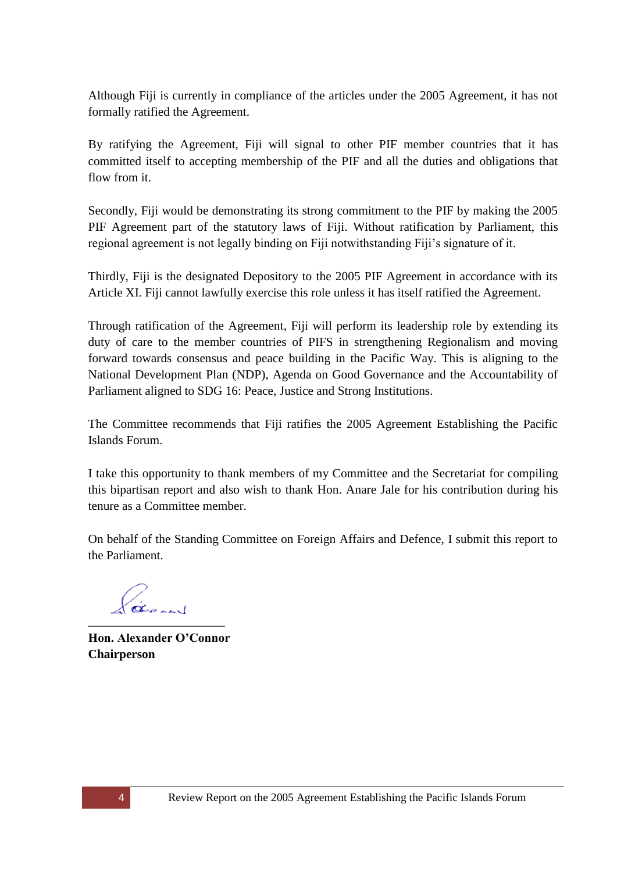Although Fiji is currently in compliance of the articles under the 2005 Agreement, it has not formally ratified the Agreement.

By ratifying the Agreement, Fiji will signal to other PIF member countries that it has committed itself to accepting membership of the PIF and all the duties and obligations that flow from it.

Secondly, Fiji would be demonstrating its strong commitment to the PIF by making the 2005 PIF Agreement part of the statutory laws of Fiji. Without ratification by Parliament, this regional agreement is not legally binding on Fiji notwithstanding Fiji's signature of it.

Thirdly, Fiji is the designated Depository to the 2005 PIF Agreement in accordance with its Article XI. Fiji cannot lawfully exercise this role unless it has itself ratified the Agreement.

Through ratification of the Agreement, Fiji will perform its leadership role by extending its duty of care to the member countries of PIFS in strengthening Regionalism and moving forward towards consensus and peace building in the Pacific Way. This is aligning to the National Development Plan (NDP), Agenda on Good Governance and the Accountability of Parliament aligned to SDG 16: Peace, Justice and Strong Institutions.

The Committee recommends that Fiji ratifies the 2005 Agreement Establishing the Pacific Islands Forum.

I take this opportunity to thank members of my Committee and the Secretariat for compiling this bipartisan report and also wish to thank Hon. Anare Jale for his contribution during his tenure as a Committee member.

On behalf of the Standing Committee on Foreign Affairs and Defence, I submit this report to the Parliament.

\_\_\_\_\_\_\_\_\_\_\_\_\_\_\_\_\_\_\_\_\_\_

**Hon. Alexander O'Connor Chairperson**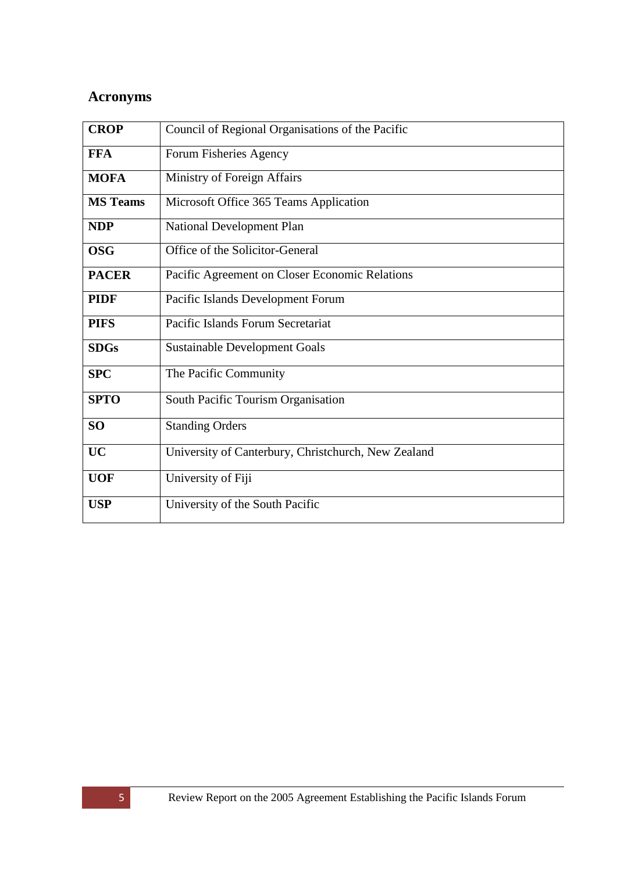# <span id="page-4-0"></span>**Acronyms**

| <b>CROP</b>     | Council of Regional Organisations of the Pacific    |
|-----------------|-----------------------------------------------------|
| <b>FFA</b>      | Forum Fisheries Agency                              |
| <b>MOFA</b>     | Ministry of Foreign Affairs                         |
| <b>MS</b> Teams | Microsoft Office 365 Teams Application              |
| <b>NDP</b>      | National Development Plan                           |
| <b>OSG</b>      | Office of the Solicitor-General                     |
| <b>PACER</b>    | Pacific Agreement on Closer Economic Relations      |
| <b>PIDF</b>     | Pacific Islands Development Forum                   |
| <b>PIFS</b>     | Pacific Islands Forum Secretariat                   |
| <b>SDGs</b>     | <b>Sustainable Development Goals</b>                |
| <b>SPC</b>      | The Pacific Community                               |
| <b>SPTO</b>     | South Pacific Tourism Organisation                  |
| SO <sub>1</sub> | <b>Standing Orders</b>                              |
| <b>UC</b>       | University of Canterbury, Christchurch, New Zealand |
| <b>UOF</b>      | University of Fiji                                  |
| <b>USP</b>      | University of the South Pacific                     |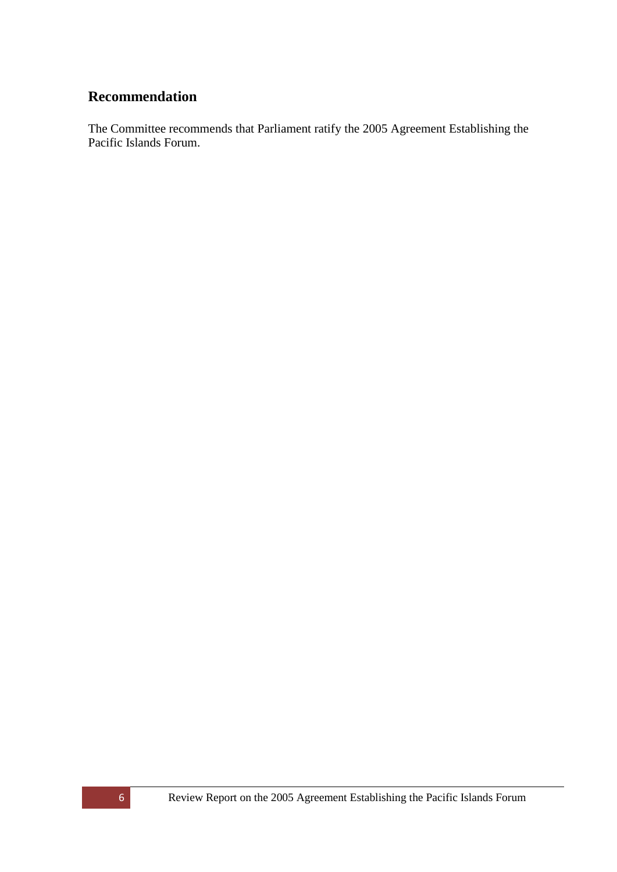### <span id="page-5-0"></span>**Recommendation**

The Committee recommends that Parliament ratify the 2005 Agreement Establishing the Pacific Islands Forum.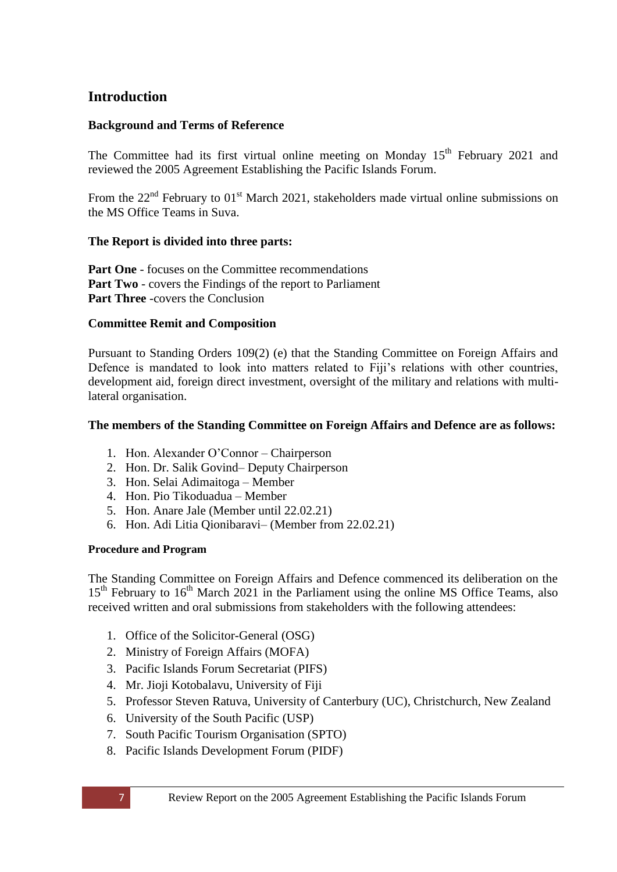### <span id="page-6-0"></span>**Introduction**

#### <span id="page-6-1"></span>**Background and Terms of Reference**

The Committee had its first virtual online meeting on Monday  $15<sup>th</sup>$  February 2021 and reviewed the 2005 Agreement Establishing the Pacific Islands Forum.

From the  $22<sup>nd</sup>$  February to  $01<sup>st</sup>$  March 2021, stakeholders made virtual online submissions on the MS Office Teams in Suva.

#### **The Report is divided into three parts:**

**Part One** - focuses on the Committee recommendations **Part Two** - covers the Findings of the report to Parliament **Part Three** -covers the Conclusion

#### <span id="page-6-2"></span>**Committee Remit and Composition**

Pursuant to Standing Orders 109(2) (e) that the Standing Committee on Foreign Affairs and Defence is mandated to look into matters related to Fiji's relations with other countries, development aid, foreign direct investment, oversight of the military and relations with multilateral organisation.

#### **The members of the Standing Committee on Foreign Affairs and Defence are as follows:**

- 1. Hon. Alexander O'Connor Chairperson
- 2. Hon. Dr. Salik Govind– Deputy Chairperson
- 3. Hon. Selai Adimaitoga Member
- 4. Hon. Pio Tikoduadua Member
- 5. Hon. Anare Jale (Member until 22.02.21)
- 6. Hon. Adi Litia Qionibaravi– (Member from 22.02.21)

#### <span id="page-6-3"></span>**Procedure and Program**

The Standing Committee on Foreign Affairs and Defence commenced its deliberation on the  $15<sup>th</sup>$  February to  $16<sup>th</sup>$  March 2021 in the Parliament using the online MS Office Teams, also received written and oral submissions from stakeholders with the following attendees:

- 1. Office of the Solicitor-General (OSG)
- 2. Ministry of Foreign Affairs (MOFA)
- 3. Pacific Islands Forum Secretariat (PIFS)
- 4. Mr. Jioji Kotobalavu, University of Fiji
- 5. Professor Steven Ratuva, University of Canterbury (UC), Christchurch, New Zealand
- 6. University of the South Pacific (USP)
- 7. South Pacific Tourism Organisation (SPTO)
- 8. Pacific Islands Development Forum (PIDF)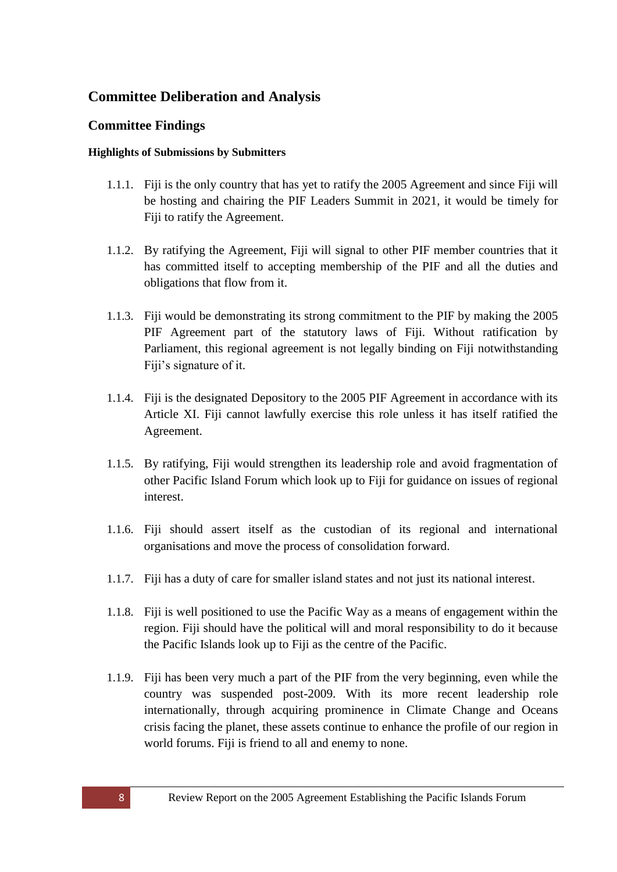### <span id="page-7-0"></span>**Committee Deliberation and Analysis**

#### <span id="page-7-1"></span>**Committee Findings**

#### <span id="page-7-2"></span>**Highlights of Submissions by Submitters**

- 1.1.1. Fiji is the only country that has yet to ratify the 2005 Agreement and since Fiji will be hosting and chairing the PIF Leaders Summit in 2021, it would be timely for Fiji to ratify the Agreement.
- 1.1.2. By ratifying the Agreement, Fiji will signal to other PIF member countries that it has committed itself to accepting membership of the PIF and all the duties and obligations that flow from it.
- 1.1.3. Fiji would be demonstrating its strong commitment to the PIF by making the 2005 PIF Agreement part of the statutory laws of Fiji. Without ratification by Parliament, this regional agreement is not legally binding on Fiji notwithstanding Fiji's signature of it.
- 1.1.4. Fiji is the designated Depository to the 2005 PIF Agreement in accordance with its Article XI. Fiji cannot lawfully exercise this role unless it has itself ratified the Agreement.
- 1.1.5. By ratifying, Fiji would strengthen its leadership role and avoid fragmentation of other Pacific Island Forum which look up to Fiji for guidance on issues of regional interest.
- 1.1.6. Fiji should assert itself as the custodian of its regional and international organisations and move the process of consolidation forward.
- 1.1.7. Fiji has a duty of care for smaller island states and not just its national interest.
- 1.1.8. Fiji is well positioned to use the Pacific Way as a means of engagement within the region. Fiji should have the political will and moral responsibility to do it because the Pacific Islands look up to Fiji as the centre of the Pacific.
- 1.1.9. Fiji has been very much a part of the PIF from the very beginning, even while the country was suspended post-2009. With its more recent leadership role internationally, through acquiring prominence in Climate Change and Oceans crisis facing the planet, these assets continue to enhance the profile of our region in world forums. Fiji is friend to all and enemy to none.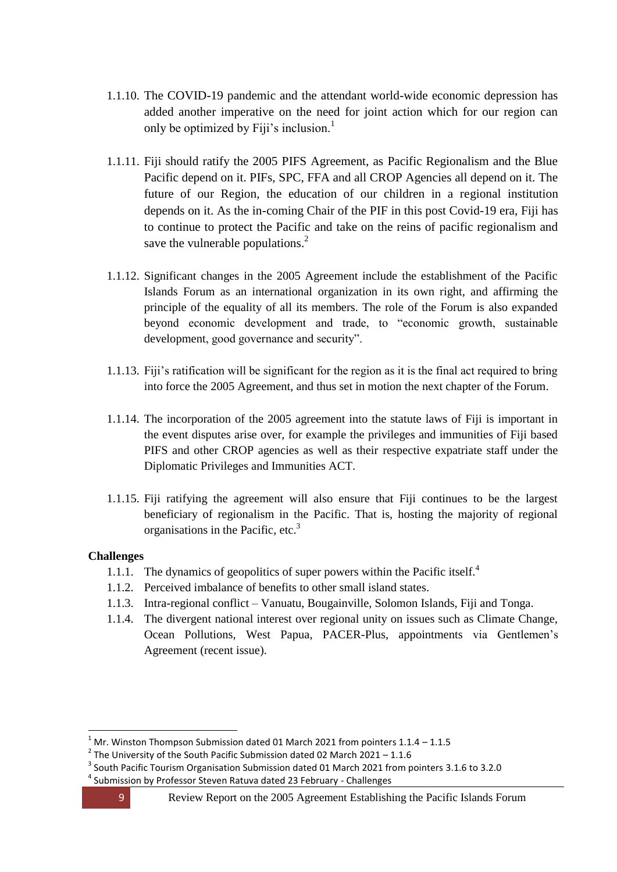- 1.1.10. The COVID-19 pandemic and the attendant world-wide economic depression has added another imperative on the need for joint action which for our region can only be optimized by Fiji's inclusion.<sup>1</sup>
- 1.1.11. Fiji should ratify the 2005 PIFS Agreement, as Pacific Regionalism and the Blue Pacific depend on it. PIFs, SPC, FFA and all CROP Agencies all depend on it. The future of our Region, the education of our children in a regional institution depends on it. As the in-coming Chair of the PIF in this post Covid-19 era, Fiji has to continue to protect the Pacific and take on the reins of pacific regionalism and save the vulnerable populations.<sup>2</sup>
- 1.1.12. Significant changes in the 2005 Agreement include the establishment of the Pacific Islands Forum as an international organization in its own right, and affirming the principle of the equality of all its members. The role of the Forum is also expanded beyond economic development and trade, to "economic growth, sustainable development, good governance and security".
- 1.1.13. Fiji's ratification will be significant for the region as it is the final act required to bring into force the 2005 Agreement, and thus set in motion the next chapter of the Forum.
- 1.1.14. The incorporation of the 2005 agreement into the statute laws of Fiji is important in the event disputes arise over, for example the privileges and immunities of Fiji based PIFS and other CROP agencies as well as their respective expatriate staff under the Diplomatic Privileges and Immunities ACT.
- 1.1.15. Fiji ratifying the agreement will also ensure that Fiji continues to be the largest beneficiary of regionalism in the Pacific. That is, hosting the majority of regional organisations in the Pacific, etc. $3$

#### <span id="page-8-0"></span>**Challenges**

- 1.1.1. The dynamics of geopolitics of super powers within the Pacific itself.<sup>4</sup>
- 1.1.2. Perceived imbalance of benefits to other small island states.
- 1.1.3. Intra-regional conflict Vanuatu, Bougainville, Solomon Islands, Fiji and Tonga.
- 1.1.4. The divergent national interest over regional unity on issues such as Climate Change, Ocean Pollutions, West Papua, PACER-Plus, appointments via Gentlemen's Agreement (recent issue).

**.** 

<sup>1</sup> Mr. Winston Thompson Submission dated 01 March 2021 from pointers 1.1.4 – 1.1.5

 $2$  The University of the South Pacific Submission dated 02 March 2021 – 1.1.6

 $3$  South Pacific Tourism Organisation Submission dated 01 March 2021 from pointers 3.1.6 to 3.2.0

<sup>&</sup>lt;sup>4</sup> Submission by Professor Steven Ratuva dated 23 February - Challenges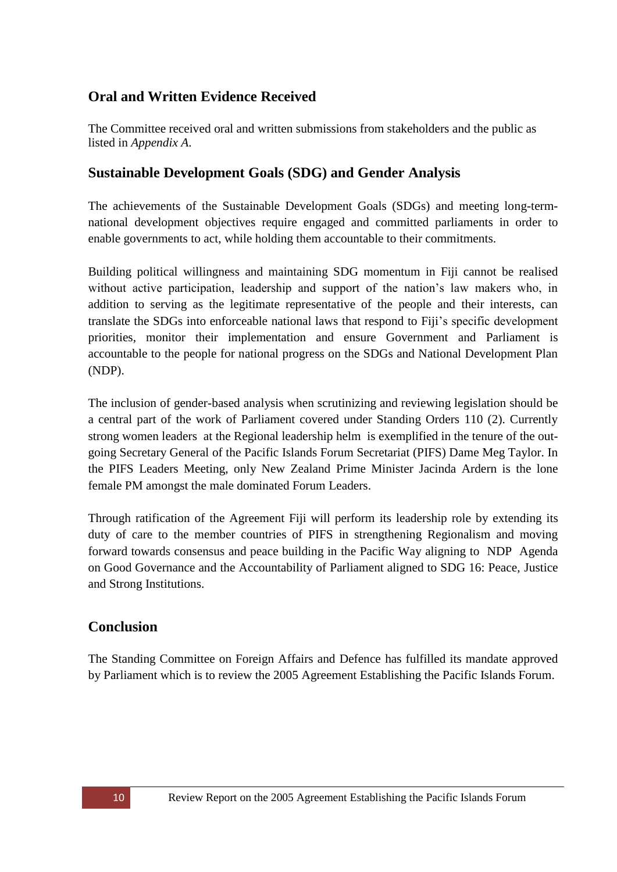### <span id="page-9-0"></span>**Oral and Written Evidence Received**

The Committee received oral and written submissions from stakeholders and the public as listed in *Appendix A*.

### <span id="page-9-1"></span>**Sustainable Development Goals (SDG) and Gender Analysis**

The achievements of the Sustainable Development Goals (SDGs) and meeting long-termnational development objectives require engaged and committed parliaments in order to enable governments to act, while holding them accountable to their commitments.

Building political willingness and maintaining SDG momentum in Fiji cannot be realised without active participation, leadership and support of the nation's law makers who, in addition to serving as the legitimate representative of the people and their interests, can translate the SDGs into enforceable national laws that respond to Fiji's specific development priorities, monitor their implementation and ensure Government and Parliament is accountable to the people for national progress on the SDGs and National Development Plan (NDP).

The inclusion of gender-based analysis when scrutinizing and reviewing legislation should be a central part of the work of Parliament covered under Standing Orders 110 (2). Currently strong women leaders at the Regional leadership helm is exemplified in the tenure of the outgoing Secretary General of the Pacific Islands Forum Secretariat (PIFS) Dame Meg Taylor. In the PIFS Leaders Meeting, only New Zealand Prime Minister Jacinda Ardern is the lone female PM amongst the male dominated Forum Leaders.

Through ratification of the Agreement Fiji will perform its leadership role by extending its duty of care to the member countries of PIFS in strengthening Regionalism and moving forward towards consensus and peace building in the Pacific Way aligning to NDP Agenda on Good Governance and the Accountability of Parliament aligned to SDG 16: Peace, Justice and Strong Institutions.

### <span id="page-9-2"></span>**Conclusion**

The Standing Committee on Foreign Affairs and Defence has fulfilled its mandate approved by Parliament which is to review the 2005 Agreement Establishing the Pacific Islands Forum.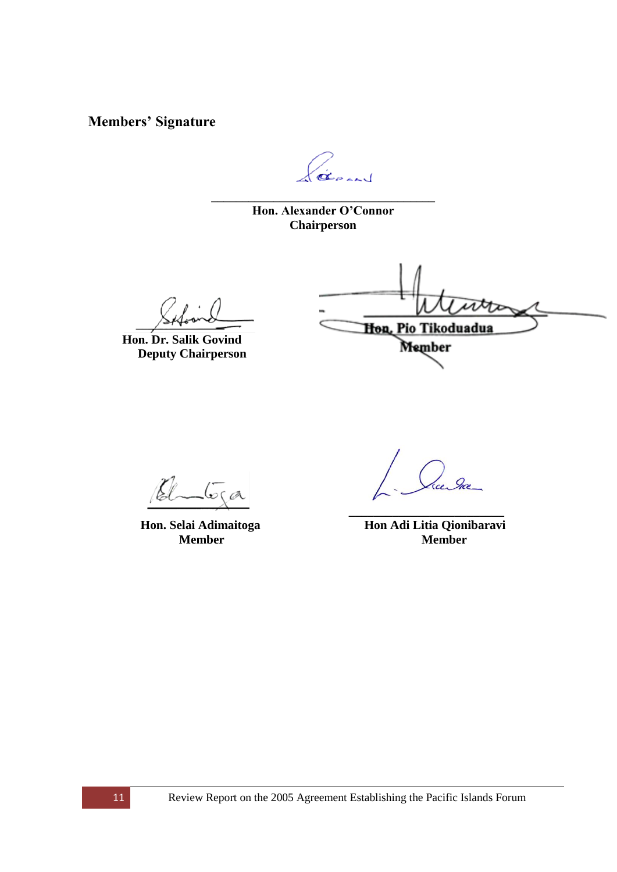<span id="page-10-0"></span>**Members' Signature**

GERAND

**\_\_\_\_\_\_\_\_\_\_\_\_\_\_\_\_\_\_\_\_\_\_\_\_\_\_\_\_\_\_\_\_\_\_\_\_ Hon. Alexander O'Connor Chairperson**

 **Hon. Dr. Salik Govind Deputy Chairperson**

Hon, Pio Tikoduadua

Member

 $\sqrt{\sigma}$ ca

**\_\_\_\_\_\_\_\_\_\_\_\_\_\_\_\_\_\_\_\_\_\_\_\_\_**

**Hon. Selai Adimaitoga Hon Adi Litia Qionibaravi Member**